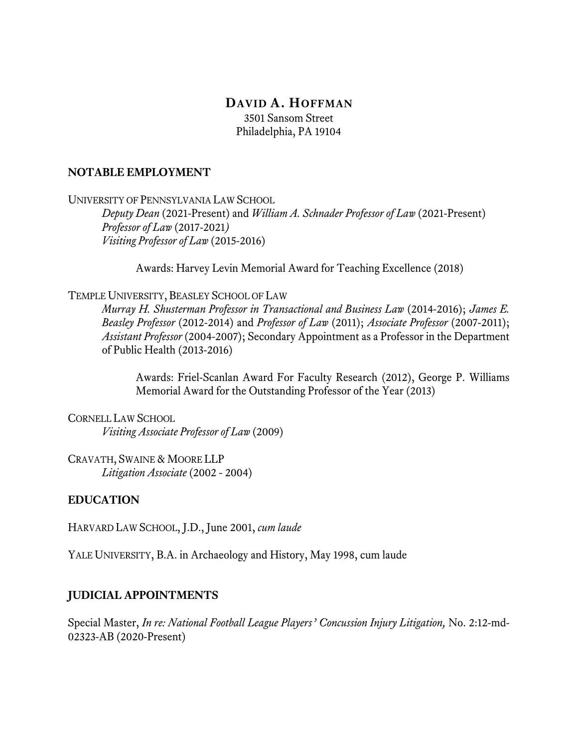# **DAVID A. HOFFMAN**

3501 Sansom Street Philadelphia, PA 19104

#### **NOTABLE EMPLOYMENT**

UNIVERSITY OF PENNSYLVANIA LAW SCHOOL

*Deputy Dean* (2021*-*Present) and *William A. Schnader Professor of Law* (2021-Present) *Professor of Law* (2017*-*2021*) Visiting Professor of Law* (2015-2016)

Awards: Harvey Levin Memorial Award for Teaching Excellence (2018)

TEMPLE UNIVERSITY, BEASLEY SCHOOL OF LAW

*Murray H. Shusterman Professor in Transactional and Business Law* (2014-2016); *James E. Beasley Professor* (2012-2014) and *Professor of Law* (2011); *Associate Professor* (2007-2011); *Assistant Professor* (2004-2007); Secondary Appointment as a Professor in the Department of Public Health (2013-2016)

Awards: Friel-Scanlan Award For Faculty Research (2012), George P. Williams Memorial Award for the Outstanding Professor of the Year (2013)

CORNELL LAW SCHOOL *Visiting Associate Professor of Law* (2009)

CRAVATH, SWAINE & MOORE LLP *Litigation Associate* (2002 - 2004)

### **EDUCATION**

HARVARD LAW SCHOOL, J.D., June 2001, *cum laude*

YALE UNIVERSITY, B.A. in Archaeology and History, May 1998, cum laude

### **JUDICIAL APPOINTMENTS**

Special Master, *In re: National Football League Players' Concussion Injury Litigation,* No. 2:12-md-02323-AB (2020-Present)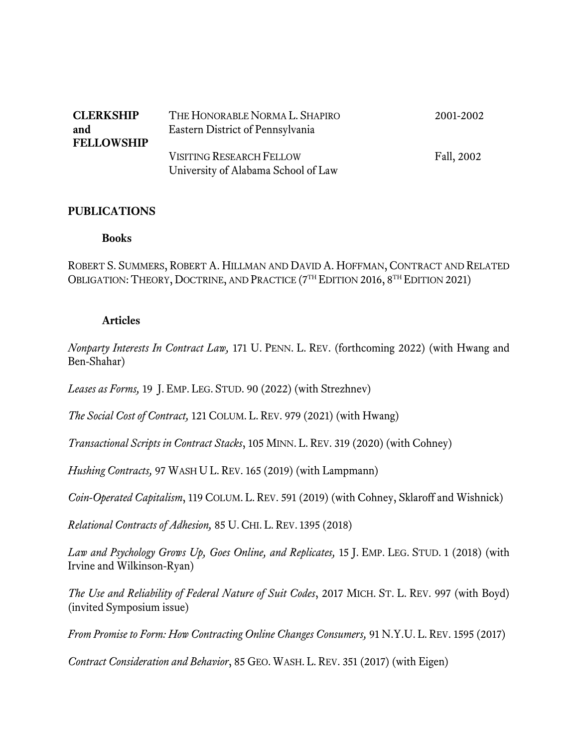| <b>CLERKSHIP</b><br>and<br><b>FELLOWSHIP</b> | THE HONORABLE NORMA L. SHAPIRO<br>Eastern District of Pennsylvania     | 2001-2002  |
|----------------------------------------------|------------------------------------------------------------------------|------------|
|                                              | <b>VISITING RESEARCH FELLOW</b><br>University of Alabama School of Law | Fall, 2002 |

#### **PUBLICATIONS**

#### **Books**

ROBERT S. SUMMERS, ROBERT A. HILLMAN AND DAVID A. HOFFMAN, CONTRACT AND RELATED OBLIGATION: THEORY, DOCTRINE, AND PRACTICE (7<sup>TH</sup> EDITION 2016, 8<sup>TH</sup> EDITION 2021)

#### **Articles**

*Nonparty Interests In Contract Law,* 171 U. PENN. L. REV. (forthcoming 2022) (with Hwang and Ben-Shahar)

*Leases as Forms,* 19 J. EMP. LEG. STUD. 90 (2022) (with Strezhnev)

*The Social Cost of Contract,* 121 COLUM. L. REV. 979 (2021) (with Hwang)

*Transactional Scripts in Contract Stacks*, 105 MINN. L. REV. 319 (2020) (with Cohney)

*Hushing Contracts,* 97 WASH U L. REV. 165 (2019) (with Lampmann)

*Coin-Operated Capitalism*, 119 COLUM. L. REV. 591 (2019) (with Cohney, Sklaroff and Wishnick)

*Relational Contracts of Adhesion,* 85 U. CHI. L. REV. 1395 (2018)

*Law and Psychology Grows Up, Goes Online, and Replicates,* 15 J. EMP. LEG. STUD. 1 (2018) (with Irvine and Wilkinson-Ryan)

*The Use and Reliability of Federal Nature of Suit Codes*, 2017 MICH. ST. L. REV. 997 (with Boyd) (invited Symposium issue)

*From Promise to Form: How Contracting Online Changes Consumers,* 91 N.Y.U. L. REV. 1595 (2017)

*Contract Consideration and Behavior*, 85 GEO. WASH. L. REV. 351 (2017) (with Eigen)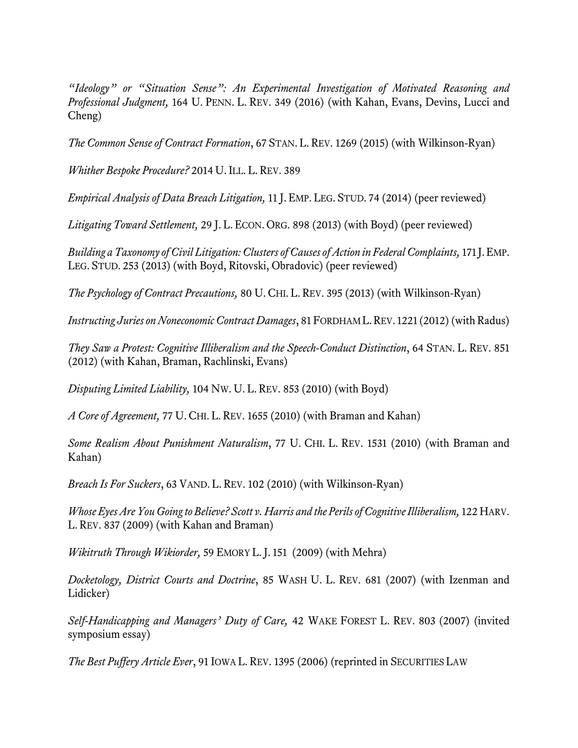*"Ideology" or "Situation Sense": An Experimental Investigation of Motivated Reasoning and Professional Judgment,* 164 U. PENN. L. REV. 349 (2016) (with Kahan, Evans, Devins, Lucci and Cheng)

*The Common Sense of Contract Formation*, 67 STAN. L. REV. 1269 (2015) (with Wilkinson-Ryan)

*Whither Bespoke Procedure?* 2014 U. ILL. L. REV. 389

*Empirical Analysis of Data Breach Litigation,* 11 J. EMP. LEG. STUD. 74 (2014) (peer reviewed)

*Litigating Toward Settlement,* 29 J. L. ECON. ORG. 898 (2013) (with Boyd) (peer reviewed)

*Building a Taxonomy of Civil Litigation: Clusters of Causes of Action in Federal Complaints,* 171 J.EMP. LEG. STUD. 253 (2013) (with Boyd, Ritovski, Obradovic) (peer reviewed)

*The Psychology of Contract Precautions,* 80 U. CHI. L. REV. 395 (2013) (with Wilkinson-Ryan)

*Instructing Juries on Noneconomic Contract Damages*, 81 FORDHAM L.REV. 1221 (2012) (with Radus)

*They Saw a Protest: Cognitive Illiberalism and the Speech-Conduct Distinction*, 64 STAN. L. REV. 851 (2012) (with Kahan, Braman, Rachlinski, Evans)

*Disputing Limited Liability,* 104 NW. U. L. REV. 853 (2010) (with Boyd)

*A Core of Agreement,* 77 U. CHI. L. REV. 1655 (2010) (with Braman and Kahan)

*Some Realism About Punishment Naturalism*, 77 U. CHI. L. REV. 1531 (2010) (with Braman and Kahan)

*Breach Is For Suckers*, 63 VAND. L. REV. 102 (2010) (with Wilkinson-Ryan)

*Whose Eyes Are You Going to Believe? Scott v. Harris and the Perils of Cognitive Illiberalism,* 122 HARV. L. REV. 837 (2009) (with Kahan and Braman)

*Wikitruth Through Wikiorder, 59 EMORY L. J. 151 (2009)* (with Mehra)

*Docketology, District Courts and Doctrine*, 85 WASH U. L. REV. 681 (2007) (with Izenman and Lidicker)

*Self-Handicapping and Managers' Duty of Care,* 42 WAKE FOREST L. REV. 803 (2007) (invited symposium essay)

*The Best Puffery Article Ever*, 91 IOWA L. REV. 1395 (2006) (reprinted in SECURITIES LAW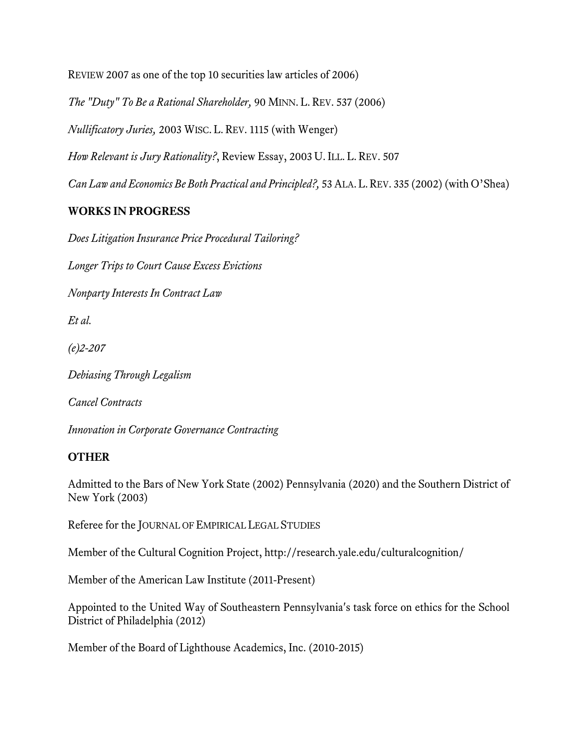REVIEW 2007 as one of the top 10 securities law articles of 2006)

*The "Duty" To Be a Rational Shareholder,* 90 MINN. L. REV. 537 (2006)

*Nullificatory Juries,* 2003 WISC. L. REV. 1115 (with Wenger)

*How Relevant is Jury Rationality?*, Review Essay, 2003 U. ILL. L. REV. 507

*Can Law and Economics Be Both Practical and Principled?,* 53 ALA.L.REV. 335 (2002) (with O'Shea)

## **WORKS IN PROGRESS**

*Does Litigation Insurance Price Procedural Tailoring?*

*Longer Trips to Court Cause Excess Evictions*

*Nonparty Interests In Contract Law*

*Et al.*

*(e)2-207*

*Debiasing Through Legalism*

*Cancel Contracts*

*Innovation in Corporate Governance Contracting*

## **OTHER**

Admitted to the Bars of New York State (2002) Pennsylvania (2020) and the Southern District of New York (2003)

Referee for the JOURNAL OF EMPIRICAL LEGAL STUDIES

Member of the Cultural Cognition Project, http://research.yale.edu/culturalcognition/

Member of the American Law Institute (2011-Present)

Appointed to the United Way of Southeastern Pennsylvania's task force on ethics for the School District of Philadelphia (2012)

Member of the Board of Lighthouse Academics, Inc. (2010-2015)